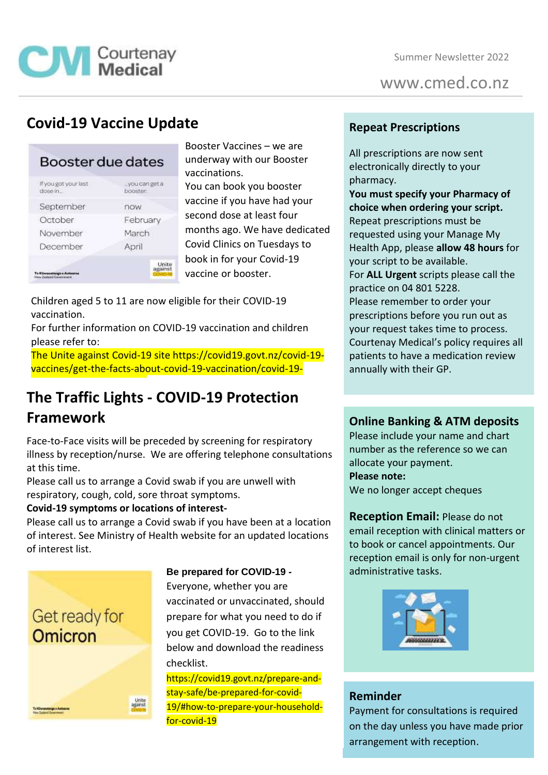

www.cmed.co.nz

## **Covid-19 Vaccine Update**

| Booster due dates               |                           |
|---------------------------------|---------------------------|
| If you got your last<br>dose in | you can get a<br>booster: |
| September                       | now                       |
| October                         | February                  |
| November                        | March                     |
| December                        | April                     |
|                                 | Unite<br>agains           |

Booster Vaccines – we are underway with our Booster vaccinations. You can book you booster vaccine if you have had your second dose at least four months ago. We have dedicated Covid Clinics on Tuesdays to book in for your Covid-19 vaccine or booster.

Children aged 5 to 11 are now eligible for their COVID-19 vaccination.

For further information on COVID-19 vaccination and children please refer to:

The Unite against Covid-19 site [https://covid19.govt.nz/covid-19](https://covid19.govt.nz/covid-19-vaccines/get-the-facts-about-covid-19-vaccination/covid-19-vaccination-and-children/) [vaccines/get-the-facts-about-covid-19-vaccination/covid-19-](https://covid19.govt.nz/covid-19-vaccines/get-the-facts-about-covid-19-vaccination/covid-19-vaccination-and-children/)

## **The Traffic Lights - COVID-19 Protection Framework** [vaccination-and-children/](https://covid19.govt.nz/covid-19-vaccines/get-the-facts-about-covid-19-vaccination/covid-19-vaccination-and-children/)

Face-to-Face visits will be preceded by screening for respiratory illness by reception/nurse. We are offering telephone consultations at this time.

Please call us to arrange a Covid swab if you are unwell with respiratory, cough, cold, sore throat symptoms.

#### **Covid-19 symptoms or locations of interest-**

Please call us to arrange a Covid swab if you have been at a location of interest. See Ministry of Health website for an updated locations of interest list.



**Be prepared for COVID-19 -**

Everyone, whether you are vaccinated or unvaccinated, should prepare for what you need to do if you get COVID-19. Go to the link below and download the readiness checklist.

https://covid19.govt.nz/prepare-andstay-safe/be-prepared-for-covid-19/#how-to-prepare-your-householdfor-covid-19

### **Repeat Prescriptions**

All prescriptions are now sent electronically directly to your pharmacy.

**You must specify your Pharmacy of choice when ordering your script.** Repeat prescriptions must be requested using your Manage My Health App, please **allow 48 hours** for your script to be available. For **ALL Urgent** scripts please call the practice on 04 801 5228. Please remember to order your prescriptions before you run out as your request takes time to process. Courtenay Medical's policy requires all patients to have a medication review annually with their GP.

### **Online Banking & ATM deposits**

Please include your name and chart number as the reference so we can allocate your payment. **Please note:** We no longer accept cheques

**Reception Email:** Please do not email reception with clinical matters or to book or cancel appointments. Our reception email is only for non-urgent administrative tasks.



#### **Reminder**

Payment for consultations is required on the day unless you have made prior arrangement with reception.